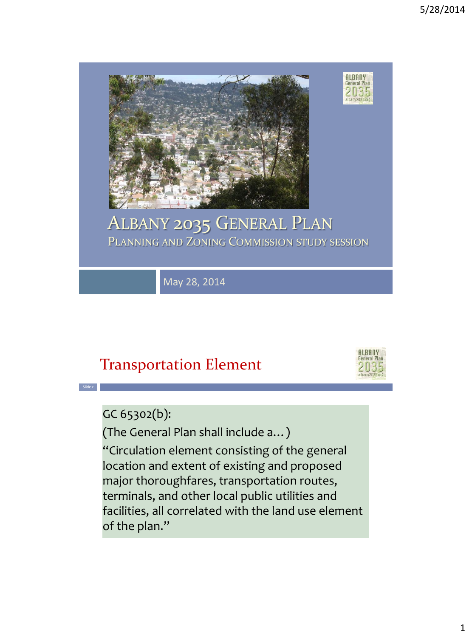

### ALBANY 2035 GENERAL PLAN PLANNING AND ZONING COMMISSION STUDY SESSION

May 28, 2014

### Transportation Element



GC 65302(b):

**Slide 2**

(The General Plan shall include a…) "Circulation element consisting of the general location and extent of existing and proposed major thoroughfares, transportation routes, terminals, and other local public utilities and facilities, all correlated with the land use element of the plan."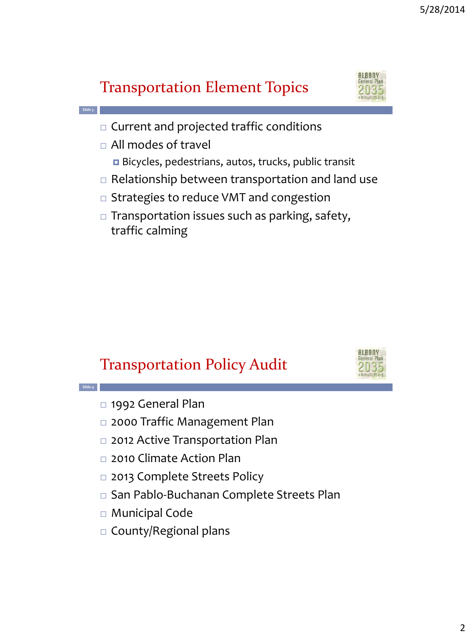### Transportation Element Topics



- $\Box$  Current and projected traffic conditions
- All modes of travel
	- Bicycles, pedestrians, autos, trucks, public transit
- $\Box$  Relationship between transportation and land use
- □ Strategies to reduce VMT and congestion
- $\Box$  Transportation issues such as parking, safety, traffic calming

#### Transportation Policy Audit



**Slide 4**

**Slide 3**

- □ 1992 General Plan
- □ 2000 Traffic Management Plan
- □ 2012 Active Transportation Plan
- □ 2010 Climate Action Plan
- □ 2013 Complete Streets Policy
- San Pablo-Buchanan Complete Streets Plan
- Municipal Code
- □ County/Regional plans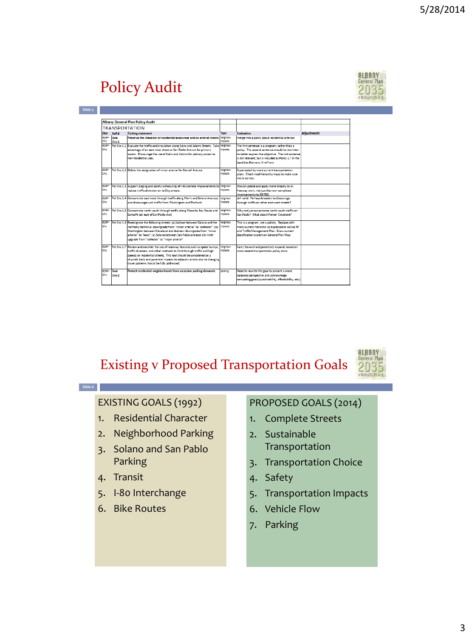# Policy Audit



|                      |                | Albany General Plan Policy Audit                                                                                                                                                                                                                                                                                                                             |                     |                                                                                                                                                                                                                                                    |                    |
|----------------------|----------------|--------------------------------------------------------------------------------------------------------------------------------------------------------------------------------------------------------------------------------------------------------------------------------------------------------------------------------------------------------------|---------------------|----------------------------------------------------------------------------------------------------------------------------------------------------------------------------------------------------------------------------------------------------|--------------------|
|                      |                | <b>TRANSPORTATION</b>                                                                                                                                                                                                                                                                                                                                        |                     |                                                                                                                                                                                                                                                    |                    |
|                      | $Doc$ Ref #    | <b>Existing statement</b>                                                                                                                                                                                                                                                                                                                                    | Topic               | Evaluation                                                                                                                                                                                                                                         | <b>Adjustments</b> |
| 92GP-<br>Circ        | Goal<br>Circ-1 | Preserve the character of residential areas near and on arterial streets                                                                                                                                                                                                                                                                                     | neighbor.<br>moacts | merge into a policy about residential arterials                                                                                                                                                                                                    |                    |
| 92/50-<br>dre.       |                | Pol Circ 1.1 Evaluate the traffic and circulation along Kains and Adams Streets. Take neighbor.<br>advantage of an east-west street or San Pablo Avenue for primary<br>access. Discourage the use of Kains and Adams for primary access to<br>non-netidential uses.                                                                                          | moacts              | The first sentence is a program, rather than a<br>policy. The second sentence should be rewritten<br>to better express the objective. The last sentence<br>is still relevant, but is included as Policy 2.7 in the<br>Land Use Element, X-ref here |                    |
| 92GP-<br><b>Circ</b> |                | Pol Circ 1.2 Delete the designation of minor arterial for Cornell Avenue                                                                                                                                                                                                                                                                                     | neighbor.<br>moacts | Superseded by more current transportation<br>plans. Check road hierarchy maps to make sure<br>this is correct.                                                                                                                                     |                    |
| 92GP-<br>cire.       |                | Pol Circ 1.3 Support staging and careful scheduling of I-80 corridor improvements to<br>reduce traffic diversion on to City streets.                                                                                                                                                                                                                         | neighbor.<br>moacts | Should update and apply more broadly to all<br>freeway work, not just the now-completed<br>improvements to 80/580.                                                                                                                                 |                    |
| 92GP-<br>Circ.       |                | Pol Circ 1.4 Concentrate east-west through-traffic along Marin and Solano Avenues<br>and discourage such traffic from Washington and Portland                                                                                                                                                                                                                | neighbor.<br>moacts | still valid. Perhaps broaden to discourage<br>through traffic on other east-west streets?                                                                                                                                                          |                    |
| 92GP-<br>Circ.       |                | Pol Circ 1.5 Concentrate north-south through traffic along Masonic, Key Route and<br>Santa Fe (all east of San Pablo Ave)                                                                                                                                                                                                                                    | neighbor.<br>moscts | Why not just concentrate north-south traffic on<br>San Pablo? What about Pierce/ Cleveland?                                                                                                                                                        |                    |
| 92/3P-<br>cine.      |                | Pol Circ 1.6 Redesignate the following streets: (a) Jackson between Solano and the<br>northerly terminus: downgrade from "minor arterial" to "collector"; (b)<br>Washington between Cleveland and Jackson: downgrade from "minor"<br>arterial" to "local": (c) Solano between San Pablo and east city limit:<br>upgrade from "collector" to "major arterial" | neighbor.<br>moacts | This is a program, not a policty. Replace with<br>more current hierarchy as expressed in Active TP<br>and Traffic Management Plan. Show current<br>classification system on General Plan Map.                                                      |                    |
| 92GP-<br>cire.       |                | Pol Circ 1.7 Review and consider the use of roadway features such as speed bumps.<br>traffic diverters, and other methods to limit through traffic and high<br>speeds on residential streets. This tool should be considered on a<br>citywide basis and potential impacts to adiacent streets due to changing<br>travel patterns should be fully addressed.  | neighbor.<br>moacts | Carry forward and potentially expand, based on<br>more recent transportation policy plans                                                                                                                                                          |                    |
| 92GP-<br>dre.        | Goal<br>Circ-2 | Protect residential neighborhoods from excessive parking demands.                                                                                                                                                                                                                                                                                            | parking             | Need to rewrite this goal to present a more<br>balanced perspective and acknowledge<br>competing goals (sustainability, affordability, etc.)                                                                                                       |                    |

#### Existing v Proposed Transportation Goals



#### **Slide 6**

#### EXISTING GOALS (1992)

- 1. Residential Character
- 2. Neighborhood Parking
- 3. Solano and San Pablo Parking
- 4. Transit
- 5. I-80 Interchange
- 6. Bike Routes

#### PROPOSED GOALS (2014)

- 1. Complete Streets
- 2. Sustainable Transportation
- 3. Transportation Choice
- 4. Safety
- 5. Transportation Impacts
- 6. Vehicle Flow
- 7. Parking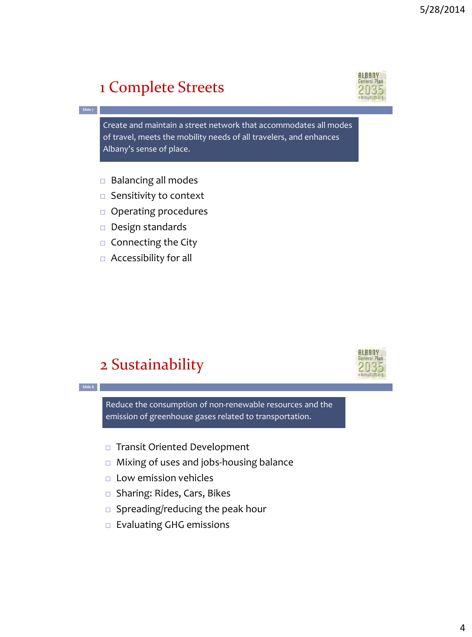### 1 Complete Streets



Create and maintain a street network that accommodates all modes of travel, meets the mobility needs of all travelers, and enhances Albany's sense of place.

- $\Box$  Balancing all modes
- $\Box$  Sensitivity to context
- Operating procedures
- $\Box$  Design standards
- $\Box$  Connecting the City
- Accessibility for all

#### 2 Sustainability



**Slide 8**

**Slide 7**

Reduce the consumption of non-renewable resources and the emission of greenhouse gases related to transportation.

- □ Transit Oriented Development
- □ Mixing of uses and jobs-housing balance
- $\Box$  Low emission vehicles
- □ Sharing: Rides, Cars, Bikes
- $\square$  Spreading/reducing the peak hour
- Evaluating GHG emissions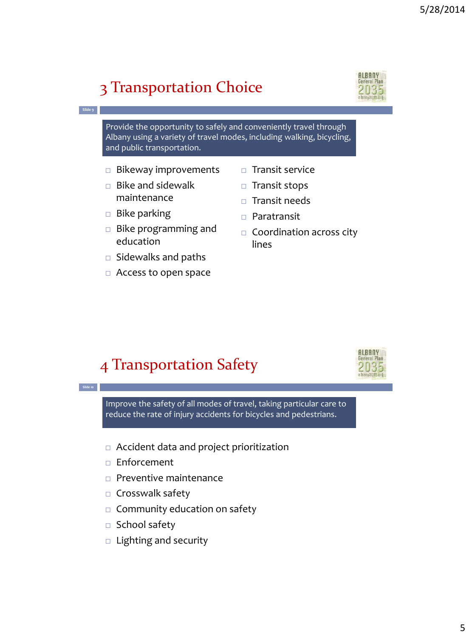### 3 Transportation Choice



Provide the opportunity to safely and conveniently travel through Albany using a variety of travel modes, including walking, bicycling, and public transportation.

- $\Box$  Bikeway improvements
- $\Box$  Bike and sidewalk maintenance
- $\Box$  Bike parking

**Slide 9**

**Slide 10**

- $\Box$  Bike programming and education
- $\Box$  Sidewalks and paths
- Access to open space
- $\Box$  Transit service
- $\Box$  Transit stops
- $\Box$  Transit needs
- Paratransit
- $\Box$  Coordination across city lines

### 4 Transportation Safety



Improve the safety of all modes of travel, taking particular care to reduce the rate of injury accidents for bicycles and pedestrians.

- Accident data and project prioritization
- □ Enforcement
- $\Box$  Preventive maintenance
- $\Box$  Crosswalk safety
- $\Box$  Community education on safety
- $\Box$  School safety
- $\Box$  Lighting and security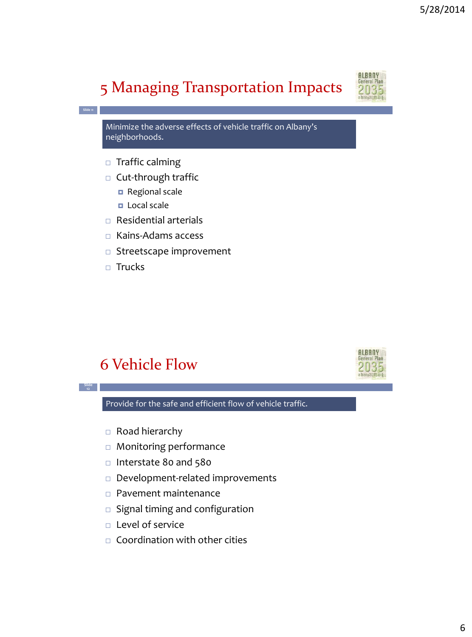# 5 Managing Transportation Impacts



Minimize the adverse effects of vehicle traffic on Albany's neighborhoods.

□ Traffic calming

**Slide 11**

**Slide 12**

- $\Box$  Cut-through traffic
	- Regional scale
	- D Local scale
- Residential arterials
- □ Kains-Adams access
- $\Box$  Streetscape improvement
- $\Box$  Trucks

#### 6 Vehicle Flow



Provide for the safe and efficient flow of vehicle traffic.

- Road hierarchy
- Monitoring performance
- □ Interstate 80 and 580
- Development-related improvements
- Pavement maintenance
- $\square$  Signal timing and configuration
- $\Box$  Level of service
- $\Box$  Coordination with other cities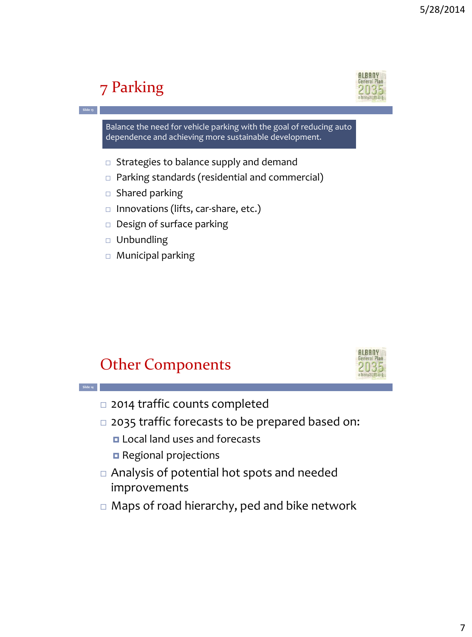# 7 Parking

**Slide 13**

**Slide 14**



Balance the need for vehicle parking with the goal of reducing auto dependence and achieving more sustainable development.

- $\Box$  Strategies to balance supply and demand
- □ Parking standards (residential and commercial)
- $\Box$  Shared parking
- $\Box$  Innovations (lifts, car-share, etc.)
- Design of surface parking
- $\Box$  Unbundling
- □ Municipal parking

#### Other Components



- □ 2014 traffic counts completed
- □ 2035 traffic forecasts to be prepared based on:
	- **Local land uses and forecasts**
	- Regional projections
- Analysis of potential hot spots and needed improvements
- □ Maps of road hierarchy, ped and bike network